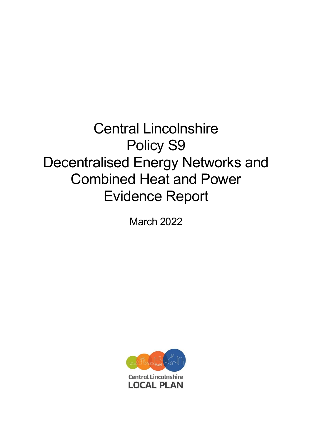# Central Lincolnshire Policy S9 Decentralised Energy Networks and Combined Heat and Power Evidence Report

March 2022

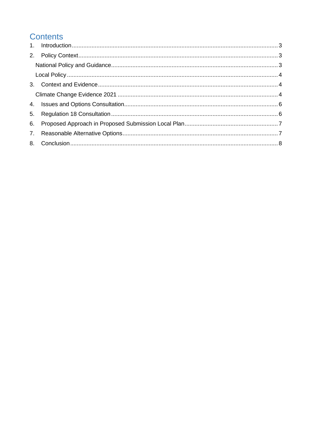# **Contents**

| 6. |  |
|----|--|
|    |  |
|    |  |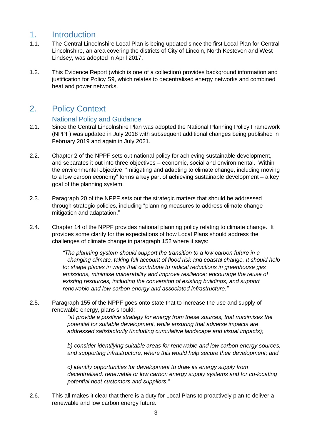## <span id="page-2-0"></span>1. Introduction

- 1.1. The Central Lincolnshire Local Plan is being updated since the first Local Plan for Central Lincolnshire, an area covering the districts of City of Lincoln, North Kesteven and West Lindsey, was adopted in April 2017.
- 1.2. This Evidence Report (which is one of a collection) provides background information and justification for Policy S9, which relates to decentralised energy networks and combined heat and power networks.

## <span id="page-2-2"></span><span id="page-2-1"></span>2. Policy Context

#### National Policy and Guidance

- 2.1. Since the Central Lincolnshire Plan was adopted the National Planning Policy Framework (NPPF) was updated in July 2018 with subsequent additional changes being published in February 2019 and again in July 2021.
- 2.2. Chapter 2 of the NPPF sets out national policy for achieving sustainable development, and separates it out into three objectives – economic, social and environmental. Within the environmental objective, "mitigating and adapting to climate change, including moving to a low carbon economy" forms a key part of achieving sustainable development – a key goal of the planning system.
- 2.3. Paragraph 20 of the NPPF sets out the strategic matters that should be addressed through strategic policies, including "planning measures to address climate change mitigation and adaptation."
- 2.4. Chapter 14 of the NPPF provides national planning policy relating to climate change. It provides some clarity for the expectations of how Local Plans should address the challenges of climate change in paragraph 152 where it says:

*"The planning system should support the transition to a low carbon future in a changing climate, taking full account of flood risk and coastal change. It should help to: shape places in ways that contribute to radical reductions in greenhouse gas emissions, minimise vulnerability and improve resilience; encourage the reuse of existing resources, including the conversion of existing buildings; and support renewable and low carbon energy and associated infrastructure."*

2.5. Paragraph 155 of the NPPF goes onto state that to increase the use and supply of renewable energy, plans should:

> *"a) provide a positive strategy for energy from these sources, that maximises the potential for suitable development, while ensuring that adverse impacts are addressed satisfactorily (including cumulative landscape and visual impacts);*

*b) consider identifying suitable areas for renewable and low carbon energy sources, and supporting infrastructure, where this would help secure their development; and* 

*c) identify opportunities for development to draw its energy supply from decentralised, renewable or low carbon energy supply systems and for co-locating potential heat customers and suppliers."*

2.6. This all makes it clear that there is a duty for Local Plans to proactively plan to deliver a renewable and low carbon energy future.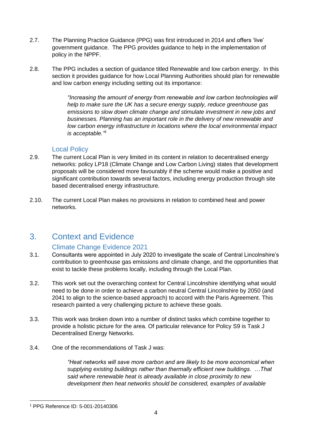- 2.7. The Planning Practice Guidance (PPG) was first introduced in 2014 and offers 'live' government guidance. The PPG provides guidance to help in the implementation of policy in the NPPF.
- 2.8. The PPG includes a section of guidance titled Renewable and low carbon energy. In this section it provides guidance for how Local Planning Authorities should plan for renewable and low carbon energy including setting out its importance:

*"Increasing the amount of energy from renewable and low carbon technologies will help to make sure the UK has a secure energy supply, reduce greenhouse gas emissions to slow down climate change and stimulate investment in new jobs and businesses. Planning has an important role in the delivery of new renewable and low carbon energy infrastructure in locations where the local environmental impact is acceptable." 1*

#### Local Policy

- <span id="page-3-0"></span>2.9. The current Local Plan is very limited in its content in relation to decentralised energy networks: policy LP18 (Climate Change and Low Carbon Living) states that development proposals will be considered more favourably if the scheme would make a positive and significant contribution towards several factors, including energy production through site based decentralised energy infrastructure.
- 2.10. The current Local Plan makes no provisions in relation to combined heat and power networks.

# <span id="page-3-1"></span>3. Context and Evidence

#### Climate Change Evidence 2021

- <span id="page-3-2"></span>3.1. Consultants were appointed in July 2020 to investigate the scale of Central Lincolnshire's contribution to greenhouse gas emissions and climate change, and the opportunities that exist to tackle these problems locally, including through the Local Plan.
- 3.2. This work set out the overarching context for Central Lincolnshire identifying what would need to be done in order to achieve a carbon neutral Central Lincolnshire by 2050 (and 2041 to align to the science-based approach) to accord with the Paris Agreement. This research painted a very challenging picture to achieve these goals.
- 3.3. This work was broken down into a number of distinct tasks which combine together to provide a holistic picture for the area. Of particular relevance for Policy S9 is Task J Decentralised Energy Networks.
- 3.4. One of the recommendations of Task J was:

*"Heat networks will save more carbon and are likely to be more economical when supplying existing buildings rather than thermally efficient new buildings. …That said where renewable heat is already available in close proximity to new development then heat networks should be considered, examples of available* 

<sup>1</sup> PPG Reference ID: 5-001-20140306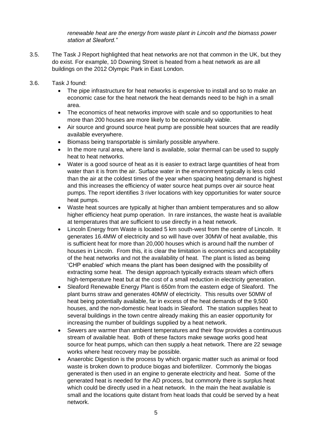*renewable heat are the energy from waste plant in Lincoln and the biomass power station at Sleaford."*

- 3.5. The Task J Report highlighted that heat networks are not that common in the UK, but they do exist. For example, 10 Downing Street is heated from a heat network as are all buildings on the 2012 Olympic Park in East London.
- 3.6. Task J found:
	- The pipe infrastructure for heat networks is expensive to install and so to make an economic case for the heat network the heat demands need to be high in a small area.
	- The economics of heat networks improve with scale and so opportunities to heat more than 200 houses are more likely to be economically viable.
	- Air source and ground source heat pump are possible heat sources that are readily available everywhere.
	- Biomass being transportable is similarly possible anywhere.
	- In the more rural area, where land is available, solar thermal can be used to supply heat to heat networks.
	- Water is a good source of heat as it is easier to extract large quantities of heat from water than it is from the air. Surface water in the environment typically is less cold than the air at the coldest times of the year when spacing heating demand is highest and this increases the efficiency of water source heat pumps over air source heat pumps. The report identifies 3 river locations with key opportunities for water source heat pumps.
	- Waste heat sources are typically at higher than ambient temperatures and so allow higher efficiency heat pump operation. In rare instances, the waste heat is available at temperatures that are sufficient to use directly in a heat network.
	- Lincoln Energy from Waste is located 5 km south-west from the centre of Lincoln. It generates 16.4MW of electricity and so will have over 30MW of heat available, this is sufficient heat for more than 20,000 houses which is around half the number of houses in Lincoln. From this, it is clear the limitation is economics and acceptability of the heat networks and not the availability of heat. The plant is listed as being 'CHP enabled' which means the plant has been designed with the possibility of extracting some heat. The design approach typically extracts steam which offers high-temperature heat but at the cost of a small reduction in electricity generation.
	- Sleaford Renewable Energy Plant is 650m from the eastern edge of Sleaford. The plant burns straw and generates 40MW of electricity. This results over 50MW of heat being potentially available, far in excess of the heat demands of the 9,500 houses, and the non-domestic heat loads in Sleaford. The station supplies heat to several buildings in the town centre already making this an easier opportunity for increasing the number of buildings supplied by a heat network.
	- Sewers are warmer than ambient temperatures and their flow provides a continuous stream of available heat. Both of these factors make sewage works good heat source for heat pumps, which can then supply a heat network. There are 22 sewage works where heat recovery may be possible.
	- Anaerobic Digestion is the process by which organic matter such as animal or food waste is broken down to produce biogas and biofertilizer. Commonly the biogas generated is then used in an engine to generate electricity and heat. Some of the generated heat is needed for the AD process, but commonly there is surplus heat which could be directly used in a heat network. In the main the heat available is small and the locations quite distant from heat loads that could be served by a heat network.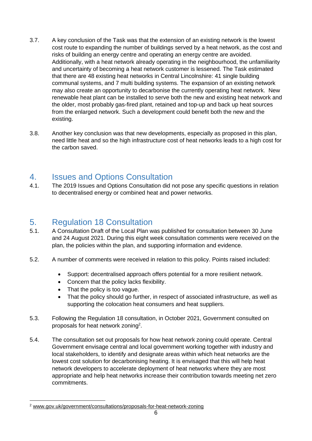- 3.7. A key conclusion of the Task was that the extension of an existing network is the lowest cost route to expanding the number of buildings served by a heat network, as the cost and risks of building an energy centre and operating an energy centre are avoided. Additionally, with a heat network already operating in the neighbourhood, the unfamiliarity and uncertainty of becoming a heat network customer is lessened. The Task estimated that there are 48 existing heat networks in Central Lincolnshire: 41 single building communal systems, and 7 multi building systems. The expansion of an existing network may also create an opportunity to decarbonise the currently operating heat network. New renewable heat plant can be installed to serve both the new and existing heat network and the older, most probably gas-fired plant, retained and top-up and back up heat sources from the enlarged network. Such a development could benefit both the new and the existing.
- 3.8. Another key conclusion was that new developments, especially as proposed in this plan, need little heat and so the high infrastructure cost of heat networks leads to a high cost for the carbon saved.

## <span id="page-5-0"></span>4. Issues and Options Consultation

4.1. The 2019 Issues and Options Consultation did not pose any specific questions in relation to decentralised energy or combined heat and power networks.

### <span id="page-5-1"></span>5. Regulation 18 Consultation

- 5.1. A Consultation Draft of the Local Plan was published for consultation between 30 June and 24 August 2021. During this eight week consultation comments were received on the plan, the policies within the plan, and supporting information and evidence.
- 5.2. A number of comments were received in relation to this policy. Points raised included:
	- Support: decentralised approach offers potential for a more resilient network.
	- Concern that the policy lacks flexibility.
	- That the policy is too vague.
	- That the policy should go further, in respect of associated infrastructure, as well as supporting the colocation heat consumers and heat suppliers.
- 5.3. Following the Regulation 18 consultation, in October 2021, Government consulted on proposals for heat network zoning<sup>2</sup>.
- 5.4. The consultation set out proposals for how heat network zoning could operate. Central Government envisage central and local government working together with industry and local stakeholders, to identify and designate areas within which heat networks are the lowest cost solution for decarbonising heating. It is envisaged that this will help heat network developers to accelerate deployment of heat networks where they are most appropriate and help heat networks increase their contribution towards meeting net zero commitments.

<sup>2</sup> www.gov.uk/government/consultations/proposals-for-heat-network-zoning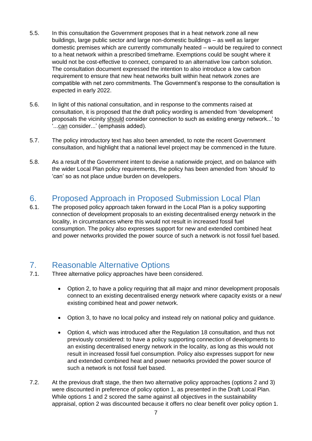- 5.5. In this consultation the Government proposes that in a heat network zone all new buildings, large public sector and large non-domestic buildings – as well as larger domestic premises which are currently communally heated – would be required to connect to a heat network within a prescribed timeframe. Exemptions could be sought where it would not be cost-effective to connect, compared to an alternative low carbon solution. The consultation document expressed the intention to also introduce a low carbon requirement to ensure that new heat networks built within heat network zones are compatible with net zero commitments. The Government's response to the consultation is expected in early 2022.
- 5.6. In light of this national consultation, and in response to the comments raised at consultation, it is proposed that the draft policy wording is amended from 'development proposals the vicinity should consider connection to such as existing energy network...' to '...can consider...' (emphasis added).
- 5.7. The policy introductory text has also been amended, to note the recent Government consultation, and highlight that a national level project may be commenced in the future.
- 5.8. As a result of the Government intent to devise a nationwide project, and on balance with the wider Local Plan policy requirements, the policy has been amended from 'should' to 'can' so as not place undue burden on developers.

# <span id="page-6-0"></span>6. Proposed Approach in Proposed Submission Local Plan

6.1. The proposed policy approach taken forward in the Local Plan is a policy supporting connection of development proposals to an existing decentralised energy network in the locality, in circumstances where this would not result in increased fossil fuel consumption. The policy also expresses support for new and extended combined heat and power networks provided the power source of such a network is not fossil fuel based.

# <span id="page-6-1"></span>7. Reasonable Alternative Options

- 7.1. Three alternative policy approaches have been considered.
	- Option 2, to have a policy requiring that all major and minor development proposals connect to an existing decentralised energy network where capacity exists or a new/ existing combined heat and power network.
	- Option 3, to have no local policy and instead rely on national policy and guidance.
	- Option 4, which was introduced after the Regulation 18 consultation, and thus not previously considered: to have a policy supporting connection of developments to an existing decentralised energy network in the locality, as long as this would not result in increased fossil fuel consumption. Policy also expresses support for new and extended combined heat and power networks provided the power source of such a network is not fossil fuel based.
- 7.2. At the previous draft stage, the then two alternative policy approaches (options 2 and 3) were discounted in preference of policy option 1, as presented in the Draft Local Plan. While options 1 and 2 scored the same against all objectives in the sustainability appraisal, option 2 was discounted because it offers no clear benefit over policy option 1.